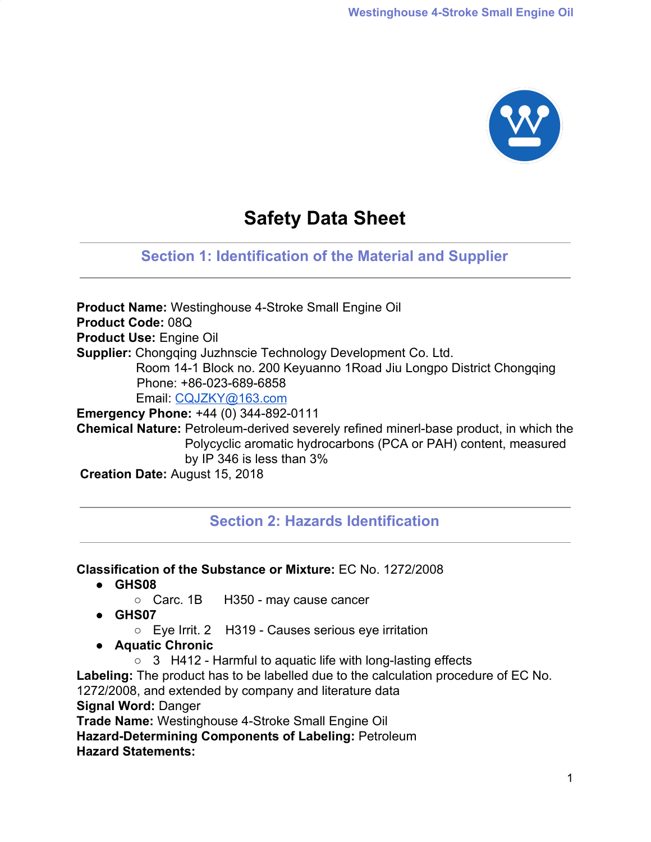

# **Safety Data Sheet**

## **Section 1: Identification of the Material and Supplier**

**Product Name:** Westinghouse 4-Stroke Small Engine Oil **Product Code:** 08Q **Product Use:** Engine Oil **Supplier:** Chongqing Juzhnscie Technology Development Co. Ltd. Room 14-1 Block no. 200 Keyuanno 1Road Jiu Longpo District Chongqing Phone: +86-023-689-6858 Email: [CQJZKY@163.com](mailto:CQJZKY@163.com) **Emergency Phone:** +44 (0) 344-892-0111 **Chemical Nature:** Petroleum-derived severely refined minerl-base product, in which the Polycyclic aromatic hydrocarbons (PCA or PAH) content, measured by IP 346 is less than 3% **Creation Date:** August 15, 2018

## **Section 2: Hazards Identification**

#### **Classification of the Substance or Mixture:** EC No. 1272/2008

- **● GHS08**
	- Carc. 1B H350 may cause cancer
- **● GHS07**
	- Eye Irrit. 2 H319 Causes serious eye irritation
- **● Aquatic Chronic**
	- 3 H412 Harmful to aquatic life with long-lasting effects

**Labeling:** The product has to be labelled due to the calculation procedure of EC No. 1272/2008, and extended by company and literature data **Signal Word:** Danger

**Trade Name:** Westinghouse 4-Stroke Small Engine Oil

**Hazard-Determining Components of Labeling:** Petroleum **Hazard Statements:**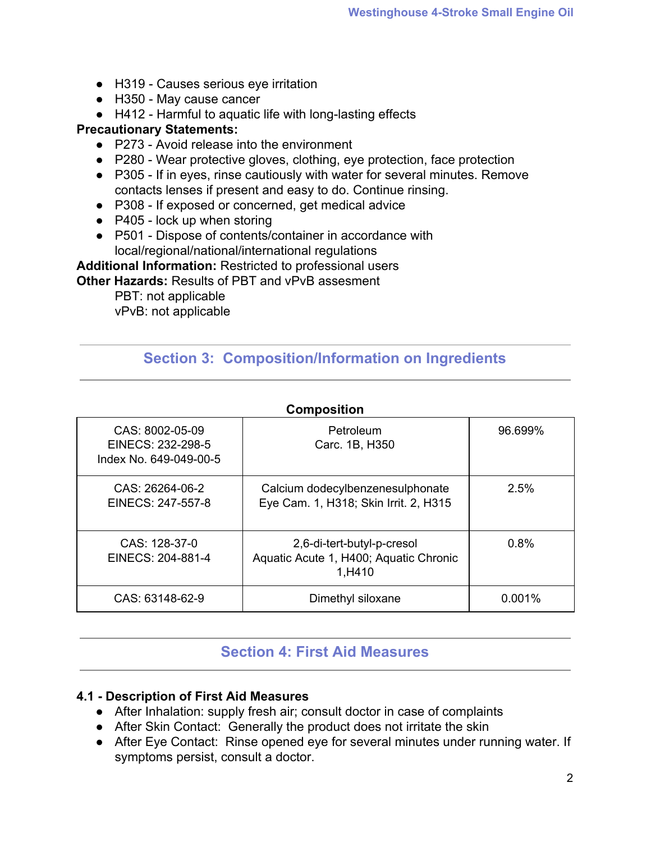- H319 Causes serious eye irritation
- H350 May cause cancer
- H412 Harmful to aquatic life with long-lasting effects

#### **Precautionary Statements:**

- P273 Avoid release into the environment
- P280 Wear protective gloves, clothing, eye protection, face protection
- P305 If in eyes, rinse cautiously with water for several minutes. Remove contacts lenses if present and easy to do. Continue rinsing.
- P308 If exposed or concerned, get medical advice
- $\bullet$  P405 lock up when storing
- P501 Dispose of contents/container in accordance with local/regional/national/international regulations

**Additional Information:** Restricted to professional users

**Other Hazards:** Results of PBT and vPvB assesment

PBT: not applicable vPvB: not applicable

## **Section 3: Composition/Information on Ingredients**

| <b>Composition</b>                                             |                                                                                |           |  |
|----------------------------------------------------------------|--------------------------------------------------------------------------------|-----------|--|
| CAS: 8002-05-09<br>EINECS: 232-298-5<br>Index No. 649-049-00-5 | Petroleum<br>Carc. 1B, H350                                                    | 96.699%   |  |
| CAS: 26264-06-2<br>EINECS: 247-557-8                           | Calcium dodecylbenzenesulphonate<br>Eye Cam. 1, H318; Skin Irrit. 2, H315      | 2.5%      |  |
| $CAS: 128-37-0$<br>EINECS: 204-881-4                           | 2,6-di-tert-butyl-p-cresol<br>Aquatic Acute 1, H400; Aquatic Chronic<br>1,H410 | 0.8%      |  |
| CAS: 63148-62-9                                                | Dimethyl siloxane                                                              | $0.001\%$ |  |

## **Section 4: First Aid Measures**

#### **4.1 - Description of First Aid Measures**

- After Inhalation: supply fresh air; consult doctor in case of complaints
- After Skin Contact: Generally the product does not irritate the skin
- After Eye Contact: Rinse opened eye for several minutes under running water. If symptoms persist, consult a doctor.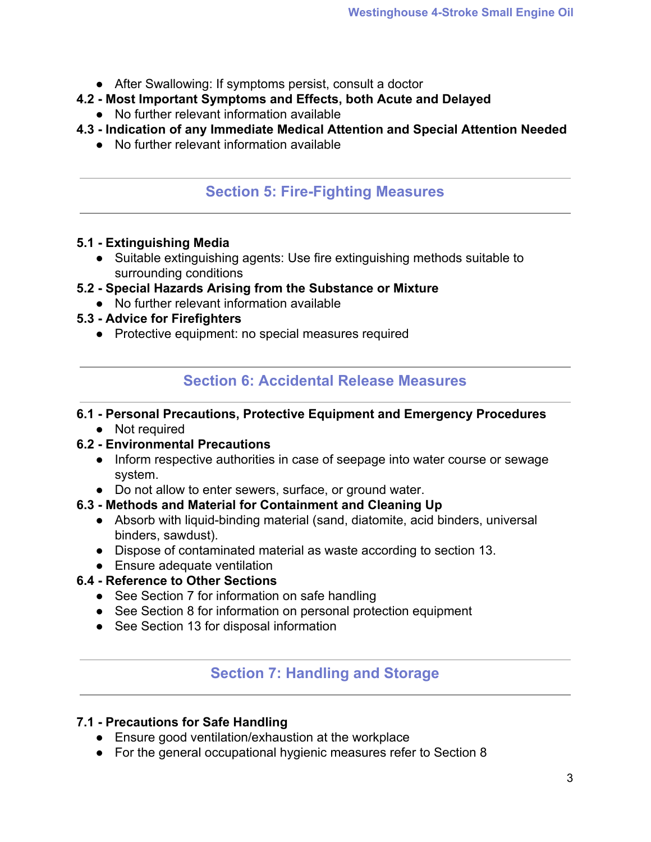- After Swallowing: If symptoms persist, consult a doctor
- **4.2 Most Important Symptoms and Effects, both Acute and Delayed**
	- No further relevant information available
- **4.3 Indication of any Immediate Medical Attention and Special Attention Needed**
	- No further relevant information available

## **Section 5: Fire-Fighting Measures**

### **5.1 - Extinguishing Media**

● Suitable extinguishing agents: Use fire extinguishing methods suitable to surrounding conditions

## **5.2 - Special Hazards Arising from the Substance or Mixture**

- No further relevant information available
- **5.3 Advice for Firefighters**
	- Protective equipment: no special measures required

## **Section 6: Accidental Release Measures**

#### **6.1 - Personal Precautions, Protective Equipment and Emergency Procedures**

• Not required

## **6.2 - Environmental Precautions**

- Inform respective authorities in case of seepage into water course or sewage system.
- Do not allow to enter sewers, surface, or ground water.

## **6.3 - Methods and Material for Containment and Cleaning Up**

- Absorb with liquid-binding material (sand, diatomite, acid binders, universal binders, sawdust).
- Dispose of contaminated material as waste according to section 13.
- Ensure adequate ventilation

## **6.4 - Reference to Other Sections**

- See Section 7 for information on safe handling
- See Section 8 for information on personal protection equipment
- See Section 13 for disposal information

## **Section 7: Handling and Storage**

## **7.1 - Precautions for Safe Handling**

- Ensure good ventilation/exhaustion at the workplace
- For the general occupational hygienic measures refer to Section 8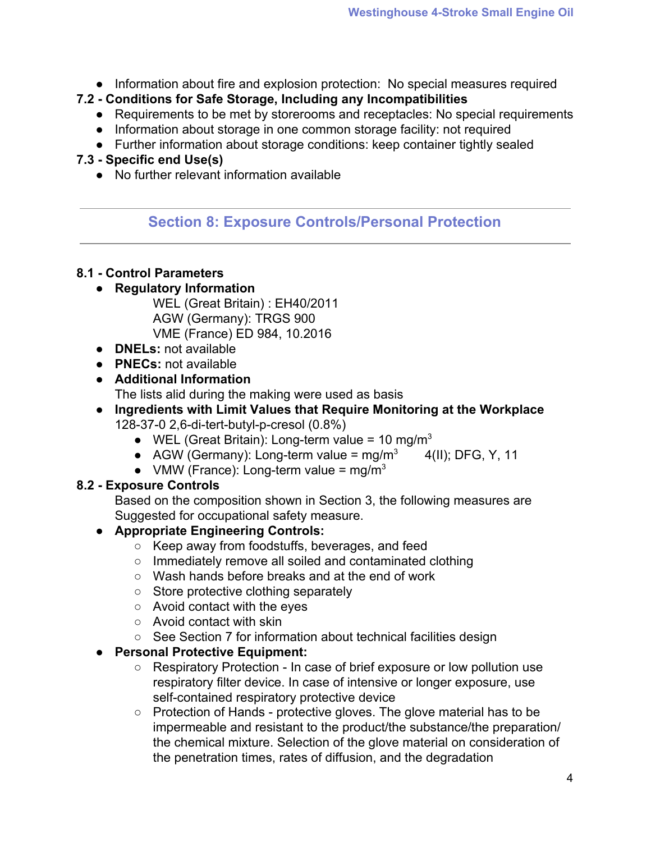● Information about fire and explosion protection: No special measures required

## **7.2 - Conditions for Safe Storage, Including any Incompatibilities**

- Requirements to be met by storerooms and receptacles: No special requirements
- Information about storage in one common storage facility: not required
- Further information about storage conditions: keep container tightly sealed

## **7.3 - Specific end Use(s)**

● No further relevant information available

## **Section 8: Exposure Controls/Personal Protection**

## **8.1 - Control Parameters**

## **● Regulatory Information**

WEL (Great Britain) : EH40/2011 AGW (Germany): TRGS 900 VME (France) ED 984, 10.2016

- **● DNELs:** not available
- **● PNECs:** not available
- **● Additional Information** The lists alid during the making were used as basis
- **● Ingredients with Limit Values that Require Monitoring at the Workplace** 128-37-0 2,6-di-tert-butyl-p-cresol (0.8%)
	- WEL (Great Britain): Long-term value = 10 mg/m<sup>3</sup>
	- AGW (Germany): Long-term value =  $mg/m<sup>3</sup>$  4(II); DFG, Y, 11
	- VMW (France): Long-term value =  $mg/m<sup>3</sup>$

## **8.2 - Exposure Controls**

Based on the composition shown in Section 3, the following measures are Suggested for occupational safety measure.

## **● Appropriate Engineering Controls:**

- Keep away from foodstuffs, beverages, and feed
- Immediately remove all soiled and contaminated clothing
- Wash hands before breaks and at the end of work
- Store protective clothing separately
- Avoid contact with the eyes
- Avoid contact with skin
- See Section 7 for information about technical facilities design

## **● Personal Protective Equipment:**

- Respiratory Protection In case of brief exposure or low pollution use respiratory filter device. In case of intensive or longer exposure, use self-contained respiratory protective device
- Protection of Hands protective gloves. The glove material has to be impermeable and resistant to the product/the substance/the preparation/ the chemical mixture. Selection of the glove material on consideration of the penetration times, rates of diffusion, and the degradation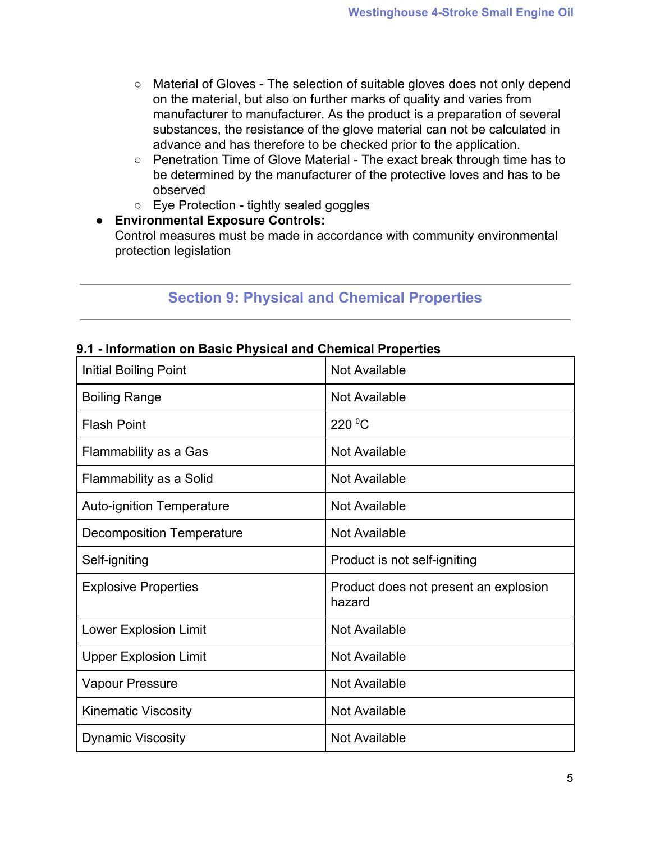- Material of Gloves The selection of suitable gloves does not only depend on the material, but also on further marks of quality and varies from manufacturer to manufacturer. As the product is a preparation of several substances, the resistance of the glove material can not be calculated in advance and has therefore to be checked prior to the application.
- Penetration Time of Glove Material The exact break through time has to be determined by the manufacturer of the protective loves and has to be observed
- Eye Protection tightly sealed goggles
- **● Environmental Exposure Controls:**

Control measures must be made in accordance with community environmental protection legislation

## **Section 9: Physical and Chemical Properties**

### **9.1 - Information on Basic Physical and Chemical Properties**

| <b>Initial Boiling Point</b>     | <b>Not Available</b>                            |
|----------------------------------|-------------------------------------------------|
| <b>Boiling Range</b>             | Not Available                                   |
| <b>Flash Point</b>               | 220 °C                                          |
| Flammability as a Gas            | <b>Not Available</b>                            |
| Flammability as a Solid          | Not Available                                   |
| <b>Auto-ignition Temperature</b> | Not Available                                   |
| Decomposition Temperature        | <b>Not Available</b>                            |
| Self-igniting                    | Product is not self-igniting                    |
| <b>Explosive Properties</b>      | Product does not present an explosion<br>hazard |
| <b>Lower Explosion Limit</b>     | Not Available                                   |
| <b>Upper Explosion Limit</b>     | Not Available                                   |
| <b>Vapour Pressure</b>           | Not Available                                   |
| <b>Kinematic Viscosity</b>       | Not Available                                   |
| <b>Dynamic Viscosity</b>         | <b>Not Available</b>                            |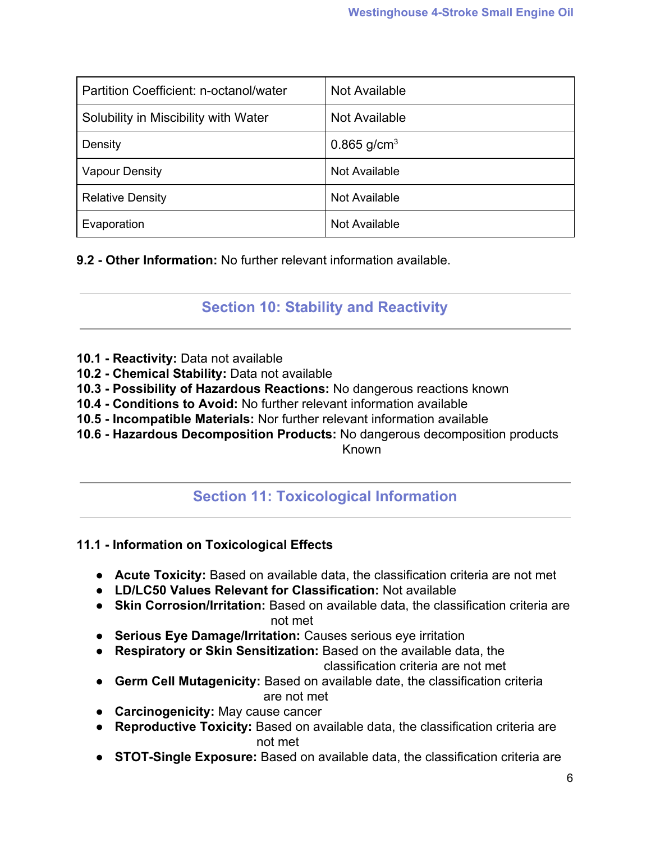| Partition Coefficient: n-octanol/water | Not Available    |
|----------------------------------------|------------------|
| Solubility in Miscibility with Water   | Not Available    |
| Density                                | 0.865 $g/cm^{3}$ |
| <b>Vapour Density</b>                  | Not Available    |
| <b>Relative Density</b>                | Not Available    |
| Evaporation                            | Not Available    |

**9.2 - Other Information:** No further relevant information available.

**Section 10: Stability and Reactivity**

- **10.1 Reactivity:** Data not available
- **10.2 Chemical Stability:** Data not available
- **10.3 Possibility of Hazardous Reactions:** No dangerous reactions known
- **10.4 Conditions to Avoid:** No further relevant information available
- **10.5 Incompatible Materials:** Nor further relevant information available
- **10.6 Hazardous Decomposition Products:** No dangerous decomposition products

Known

## **Section 11: Toxicological Information**

## **11.1 - Information on Toxicological Effects**

- **● Acute Toxicity:** Based on available data, the classification criteria are not met
- **● LD/LC50 Values Relevant for Classification:** Not available
- **● Skin Corrosion/Irritation:** Based on available data, the classification criteria are not met
- **● Serious Eye Damage/Irritation:** Causes serious eye irritation
- **● Respiratory or Skin Sensitization:** Based on the available data, the

classification criteria are not met

- **● Germ Cell Mutagenicity:** Based on available date, the classification criteria are not met
- **● Carcinogenicity:** May cause cancer
- **● Reproductive Toxicity:** Based on available data, the classification criteria are not met
- **● STOT-Single Exposure:** Based on available data, the classification criteria are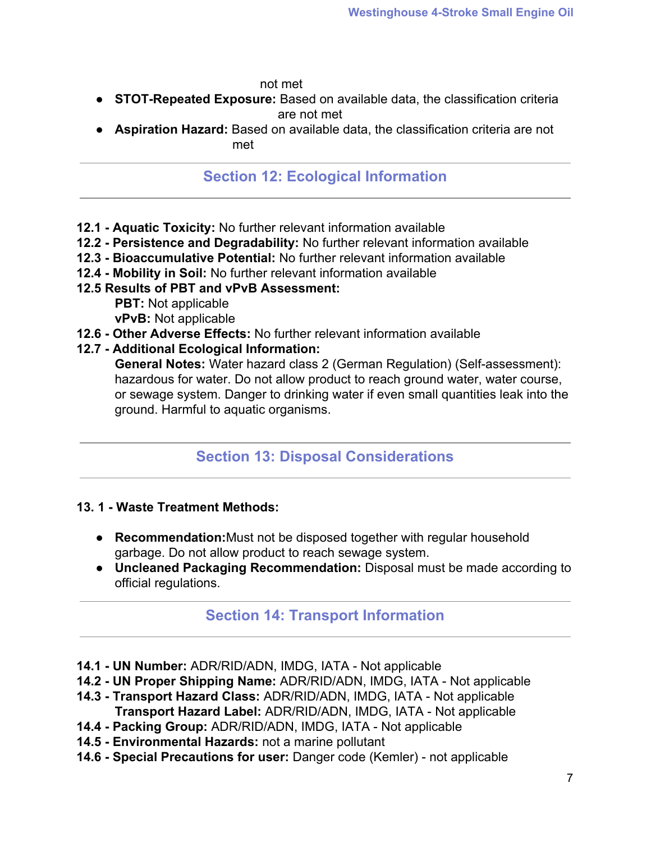not met

- **● STOT-Repeated Exposure:** Based on available data, the classification criteria are not met
- **● Aspiration Hazard:** Based on available data, the classification criteria are not met de la provincia de la provincia de la provincia de la provincia de la provincia de la provincia de la prov

## **Section 12: Ecological Information**

- **12.1 Aquatic Toxicity:** No further relevant information available
- **12.2 Persistence and Degradability:** No further relevant information available
- **12.3 Bioaccumulative Potential:** No further relevant information available
- **12.4 Mobility in Soil:** No further relevant information available

### **12.5 Results of PBT and vPvB Assessment:**

**PBT:** Not applicable **vPvB:** Not applicable

- **12.6 Other Adverse Effects:** No further relevant information available
- **12.7 Additional Ecological Information:**

**General Notes:** Water hazard class 2 (German Regulation) (Self-assessment): hazardous for water. Do not allow product to reach ground water, water course, or sewage system. Danger to drinking water if even small quantities leak into the ground. Harmful to aquatic organisms.

## **Section 13: Disposal Considerations**

#### **13. 1 - Waste Treatment Methods:**

- **● Recommendation:**Must not be disposed together with regular household garbage. Do not allow product to reach sewage system.
- **● Uncleaned Packaging Recommendation:** Disposal must be made according to official regulations.

## **Section 14: Transport Information**

- **14.1 UN Number:** ADR/RID/ADN, IMDG, IATA Not applicable
- **14.2 UN Proper Shipping Name:** ADR/RID/ADN, IMDG, IATA Not applicable
- **14.3 Transport Hazard Class:** ADR/RID/ADN, IMDG, IATA Not applicable **Transport Hazard Label:** ADR/RID/ADN, IMDG, IATA - Not applicable
- **14.4 Packing Group:** ADR/RID/ADN, IMDG, IATA Not applicable
- **14.5 Environmental Hazards:** not a marine pollutant
- **14.6 Special Precautions for user:** Danger code (Kemler) not applicable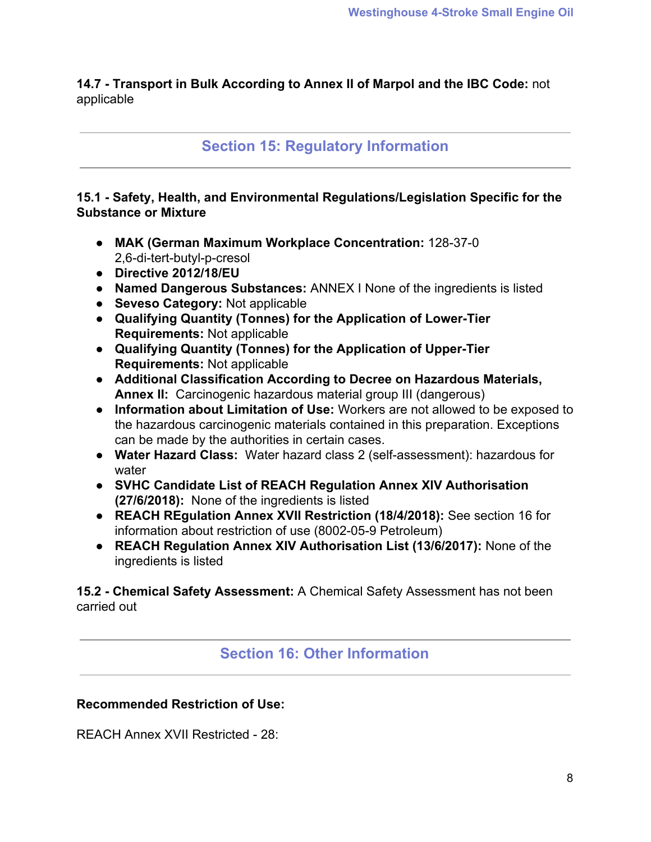**14.7 - Transport in Bulk According to Annex II of Marpol and the IBC Code:** not applicable

**Section 15: Regulatory Information**

**15.1 - Safety, Health, and Environmental Regulations/Legislation Specific for the Substance or Mixture**

- **● MAK (German Maximum Workplace Concentration:** 128-37-0 2,6-di-tert-butyl-p-cresol
- **● Directive 2012/18/EU**
- **● Named Dangerous Substances:** ANNEX I None of the ingredients is listed
- **● Seveso Category:** Not applicable
- **● Qualifying Quantity (Tonnes) for the Application of Lower-Tier Requirements:** Not applicable
- **● Qualifying Quantity (Tonnes) for the Application of Upper-Tier Requirements:** Not applicable
- **● Additional Classification According to Decree on Hazardous Materials, Annex II:** Carcinogenic hazardous material group III (dangerous)
- **● Information about Limitation of Use:** Workers are not allowed to be exposed to the hazardous carcinogenic materials contained in this preparation. Exceptions can be made by the authorities in certain cases.
- **● Water Hazard Class:** Water hazard class 2 (self-assessment): hazardous for water
- **● SVHC Candidate List of REACH Regulation Annex XIV Authorisation (27/6/2018):** None of the ingredients is listed
- **● REACH REgulation Annex XVII Restriction (18/4/2018):** See section 16 for information about restriction of use (8002-05-9 Petroleum)
- **● REACH Regulation Annex XIV Authorisation List (13/6/2017):** None of the ingredients is listed

**15.2 - Chemical Safety Assessment:** A Chemical Safety Assessment has not been carried out

**Section 16: Other Information**

## **Recommended Restriction of Use:**

REACH Annex XVII Restricted - 28: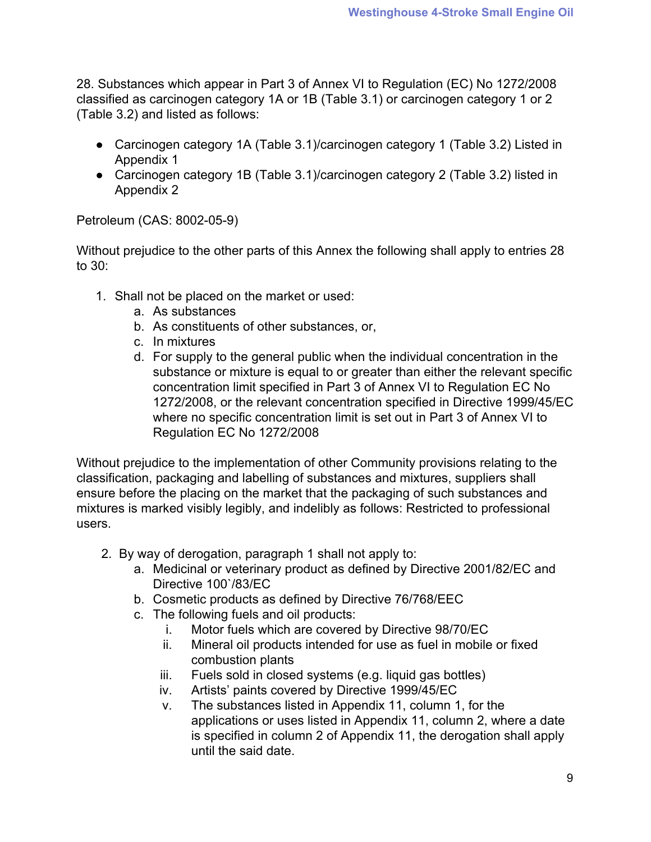28. Substances which appear in Part 3 of Annex VI to Regulation (EC) No 1272/2008 classified as carcinogen category 1A or 1B (Table 3.1) or carcinogen category 1 or 2 (Table 3.2) and listed as follows:

- Carcinogen category 1A (Table 3.1)/carcinogen category 1 (Table 3.2) Listed in Appendix 1
- Carcinogen category 1B (Table 3.1)/carcinogen category 2 (Table 3.2) listed in Appendix 2

Petroleum (CAS: 8002-05-9)

Without prejudice to the other parts of this Annex the following shall apply to entries 28 to 30:

- 1. Shall not be placed on the market or used:
	- a. As substances
	- b. As constituents of other substances, or,
	- c. In mixtures
	- d. For supply to the general public when the individual concentration in the substance or mixture is equal to or greater than either the relevant specific concentration limit specified in Part 3 of Annex VI to Regulation EC No 1272/2008, or the relevant concentration specified in Directive 1999/45/EC where no specific concentration limit is set out in Part 3 of Annex VI to Regulation EC No 1272/2008

Without prejudice to the implementation of other Community provisions relating to the classification, packaging and labelling of substances and mixtures, suppliers shall ensure before the placing on the market that the packaging of such substances and mixtures is marked visibly legibly, and indelibly as follows: Restricted to professional users.

- 2. By way of derogation, paragraph 1 shall not apply to:
	- a. Medicinal or veterinary product as defined by Directive 2001/82/EC and Directive 100`/83/EC
	- b. Cosmetic products as defined by Directive 76/768/EEC
	- c. The following fuels and oil products:
		- i. Motor fuels which are covered by Directive 98/70/EC
		- ii. Mineral oil products intended for use as fuel in mobile or fixed combustion plants
		- iii. Fuels sold in closed systems (e.g. liquid gas bottles)
		- iv. Artists' paints covered by Directive 1999/45/EC
		- v. The substances listed in Appendix 11, column 1, for the applications or uses listed in Appendix 11, column 2, where a date is specified in column 2 of Appendix 11, the derogation shall apply until the said date.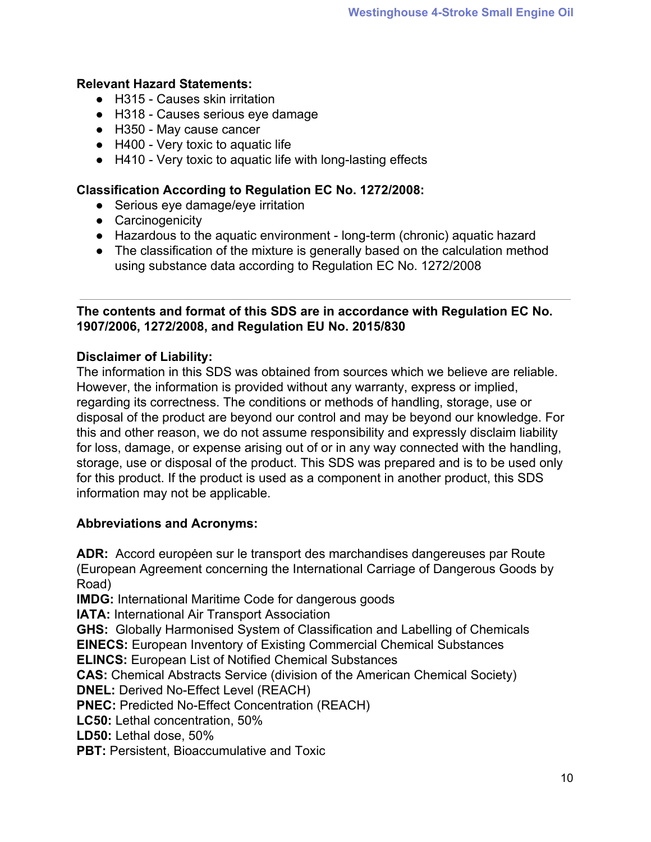### **Relevant Hazard Statements:**

- H315 Causes skin irritation
- H318 Causes serious eye damage
- H350 May cause cancer
- H400 Very toxic to aquatic life
- H410 Very toxic to aquatic life with long-lasting effects

#### **Classification According to Regulation EC No. 1272/2008:**

- Serious eye damage/eye irritation
- Carcinogenicity
- Hazardous to the aquatic environment long-term (chronic) aquatic hazard
- The classification of the mixture is generally based on the calculation method using substance data according to Regulation EC No. 1272/2008

#### **The contents and format of this SDS are in accordance with Regulation EC No. 1907/2006, 1272/2008, and Regulation EU No. 2015/830**

### **Disclaimer of Liability:**

The information in this SDS was obtained from sources which we believe are reliable. However, the information is provided without any warranty, express or implied, regarding its correctness. The conditions or methods of handling, storage, use or disposal of the product are beyond our control and may be beyond our knowledge. For this and other reason, we do not assume responsibility and expressly disclaim liability for loss, damage, or expense arising out of or in any way connected with the handling, storage, use or disposal of the product. This SDS was prepared and is to be used only for this product. If the product is used as a component in another product, this SDS information may not be applicable.

#### **Abbreviations and Acronyms:**

**ADR:** Accord europėen sur le transport des marchandises dangereuses par Route (European Agreement concerning the International Carriage of Dangerous Goods by Road)

**IMDG:** International Maritime Code for dangerous goods

**IATA: International Air Transport Association** 

**GHS:** Globally Harmonised System of Classification and Labelling of Chemicals

**EINECS:** European Inventory of Existing Commercial Chemical Substances

**ELINCS:** European List of Notified Chemical Substances

**CAS:** Chemical Abstracts Service (division of the American Chemical Society)

**DNEL:** Derived No-Effect Level (REACH)

**PNEC:** Predicted No-Effect Concentration (REACH)

**LC50:** Lethal concentration, 50%

**LD50:** Lethal dose, 50%

**PBT: Persistent, Bioaccumulative and Toxic**